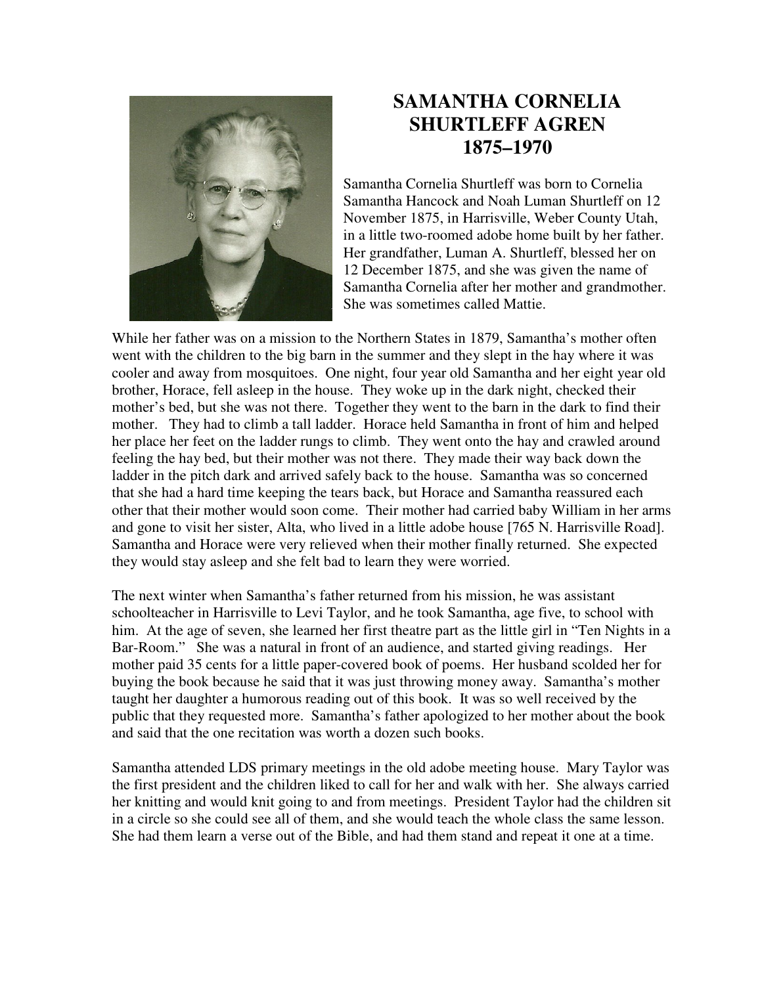

## **SAMANTHA CORNELIA SHURTLEFF AGREN 1875–1970**

Samantha Cornelia Shurtleff was born to Cornelia Samantha Hancock and Noah Luman Shurtleff on 12 November 1875, in Harrisville, Weber County Utah, in a little two-roomed adobe home built by her father. Her grandfather, Luman A. Shurtleff, blessed her on 12 December 1875, and she was given the name of Samantha Cornelia after her mother and grandmother. She was sometimes called Mattie.

While her father was on a mission to the Northern States in 1879, Samantha's mother often went with the children to the big barn in the summer and they slept in the hay where it was cooler and away from mosquitoes. One night, four year old Samantha and her eight year old brother, Horace, fell asleep in the house. They woke up in the dark night, checked their mother's bed, but she was not there. Together they went to the barn in the dark to find their mother. They had to climb a tall ladder. Horace held Samantha in front of him and helped her place her feet on the ladder rungs to climb. They went onto the hay and crawled around feeling the hay bed, but their mother was not there. They made their way back down the ladder in the pitch dark and arrived safely back to the house. Samantha was so concerned that she had a hard time keeping the tears back, but Horace and Samantha reassured each other that their mother would soon come. Their mother had carried baby William in her arms and gone to visit her sister, Alta, who lived in a little adobe house [765 N. Harrisville Road]. Samantha and Horace were very relieved when their mother finally returned. She expected they would stay asleep and she felt bad to learn they were worried.

The next winter when Samantha's father returned from his mission, he was assistant schoolteacher in Harrisville to Levi Taylor, and he took Samantha, age five, to school with him. At the age of seven, she learned her first theatre part as the little girl in "Ten Nights in a Bar-Room." She was a natural in front of an audience, and started giving readings. Her mother paid 35 cents for a little paper-covered book of poems. Her husband scolded her for buying the book because he said that it was just throwing money away. Samantha's mother taught her daughter a humorous reading out of this book. It was so well received by the public that they requested more. Samantha's father apologized to her mother about the book and said that the one recitation was worth a dozen such books.

Samantha attended LDS primary meetings in the old adobe meeting house. Mary Taylor was the first president and the children liked to call for her and walk with her. She always carried her knitting and would knit going to and from meetings. President Taylor had the children sit in a circle so she could see all of them, and she would teach the whole class the same lesson. She had them learn a verse out of the Bible, and had them stand and repeat it one at a time.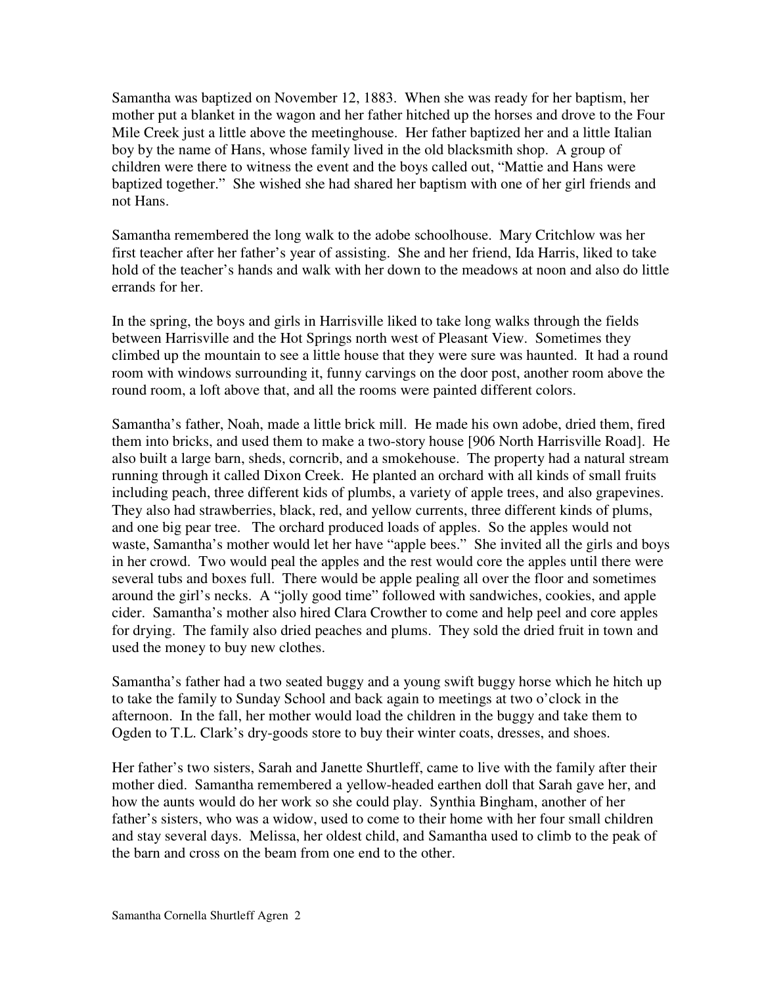Samantha was baptized on November 12, 1883. When she was ready for her baptism, her mother put a blanket in the wagon and her father hitched up the horses and drove to the Four Mile Creek just a little above the meetinghouse. Her father baptized her and a little Italian boy by the name of Hans, whose family lived in the old blacksmith shop. A group of children were there to witness the event and the boys called out, "Mattie and Hans were baptized together." She wished she had shared her baptism with one of her girl friends and not Hans.

Samantha remembered the long walk to the adobe schoolhouse. Mary Critchlow was her first teacher after her father's year of assisting. She and her friend, Ida Harris, liked to take hold of the teacher's hands and walk with her down to the meadows at noon and also do little errands for her.

In the spring, the boys and girls in Harrisville liked to take long walks through the fields between Harrisville and the Hot Springs north west of Pleasant View. Sometimes they climbed up the mountain to see a little house that they were sure was haunted. It had a round room with windows surrounding it, funny carvings on the door post, another room above the round room, a loft above that, and all the rooms were painted different colors.

Samantha's father, Noah, made a little brick mill. He made his own adobe, dried them, fired them into bricks, and used them to make a two-story house [906 North Harrisville Road]. He also built a large barn, sheds, corncrib, and a smokehouse. The property had a natural stream running through it called Dixon Creek. He planted an orchard with all kinds of small fruits including peach, three different kids of plumbs, a variety of apple trees, and also grapevines. They also had strawberries, black, red, and yellow currents, three different kinds of plums, and one big pear tree. The orchard produced loads of apples. So the apples would not waste, Samantha's mother would let her have "apple bees." She invited all the girls and boys in her crowd. Two would peal the apples and the rest would core the apples until there were several tubs and boxes full. There would be apple pealing all over the floor and sometimes around the girl's necks. A "jolly good time" followed with sandwiches, cookies, and apple cider. Samantha's mother also hired Clara Crowther to come and help peel and core apples for drying. The family also dried peaches and plums. They sold the dried fruit in town and used the money to buy new clothes.

Samantha's father had a two seated buggy and a young swift buggy horse which he hitch up to take the family to Sunday School and back again to meetings at two o'clock in the afternoon. In the fall, her mother would load the children in the buggy and take them to Ogden to T.L. Clark's dry-goods store to buy their winter coats, dresses, and shoes.

Her father's two sisters, Sarah and Janette Shurtleff, came to live with the family after their mother died. Samantha remembered a yellow-headed earthen doll that Sarah gave her, and how the aunts would do her work so she could play. Synthia Bingham, another of her father's sisters, who was a widow, used to come to their home with her four small children and stay several days. Melissa, her oldest child, and Samantha used to climb to the peak of the barn and cross on the beam from one end to the other.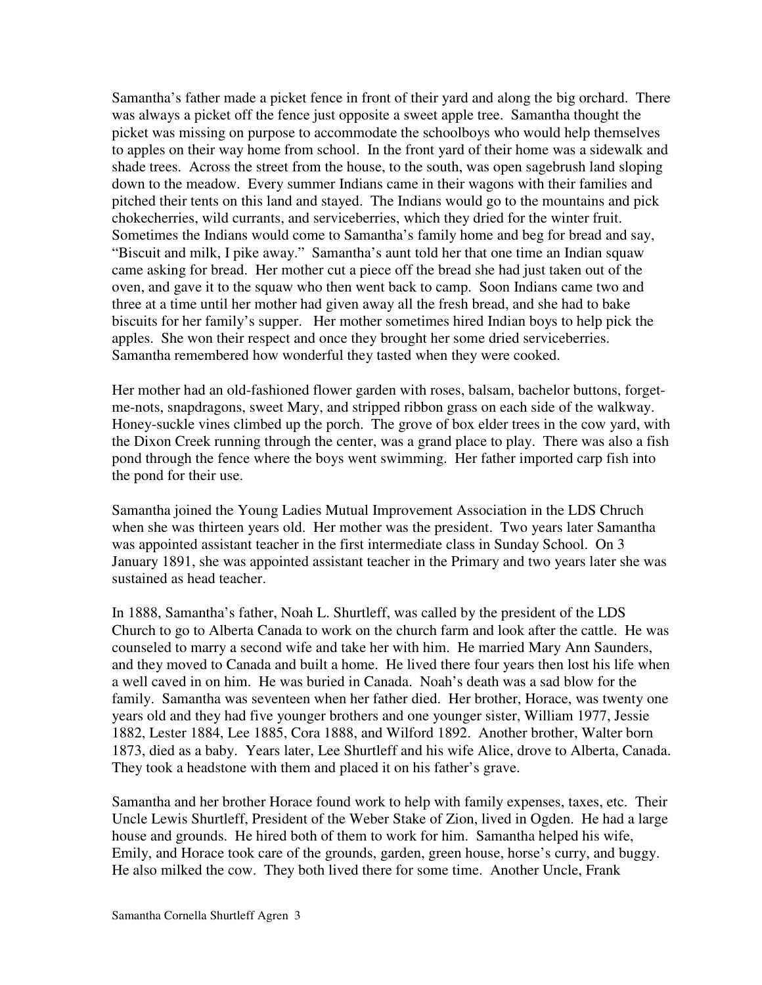Samantha's father made a picket fence in front of their yard and along the big orchard. There was always a picket off the fence just opposite a sweet apple tree. Samantha thought the picket was missing on purpose to accommodate the schoolboys who would help themselves to apples on their way home from school. In the front yard of their home was a sidewalk and shade trees. Across the street from the house, to the south, was open sagebrush land sloping down to the meadow. Every summer Indians came in their wagons with their families and pitched their tents on this land and stayed. The Indians would go to the mountains and pick chokecherries, wild currants, and serviceberries, which they dried for the winter fruit. Sometimes the Indians would come to Samantha's family home and beg for bread and say, "Biscuit and milk, I pike away." Samantha's aunt told her that one time an Indian squaw came asking for bread. Her mother cut a piece off the bread she had just taken out of the oven, and gave it to the squaw who then went back to camp. Soon Indians came two and three at a time until her mother had given away all the fresh bread, and she had to bake biscuits for her family's supper. Her mother sometimes hired Indian boys to help pick the apples. She won their respect and once they brought her some dried serviceberries. Samantha remembered how wonderful they tasted when they were cooked.

Her mother had an old-fashioned flower garden with roses, balsam, bachelor buttons, forgetme-nots, snapdragons, sweet Mary, and stripped ribbon grass on each side of the walkway. Honey-suckle vines climbed up the porch. The grove of box elder trees in the cow yard, with the Dixon Creek running through the center, was a grand place to play. There was also a fish pond through the fence where the boys went swimming. Her father imported carp fish into the pond for their use.

Samantha joined the Young Ladies Mutual Improvement Association in the LDS Chruch when she was thirteen years old. Her mother was the president. Two years later Samantha was appointed assistant teacher in the first intermediate class in Sunday School. On 3 January 1891, she was appointed assistant teacher in the Primary and two years later she was sustained as head teacher.

In 1888, Samantha's father, Noah L. Shurtleff, was called by the president of the LDS Church to go to Alberta Canada to work on the church farm and look after the cattle. He was counseled to marry a second wife and take her with him. He married Mary Ann Saunders, and they moved to Canada and built a home. He lived there four years then lost his life when a well caved in on him. He was buried in Canada. Noah's death was a sad blow for the family. Samantha was seventeen when her father died. Her brother, Horace, was twenty one years old and they had five younger brothers and one younger sister, William 1977, Jessie 1882, Lester 1884, Lee 1885, Cora 1888, and Wilford 1892. Another brother, Walter born 1873, died as a baby. Years later, Lee Shurtleff and his wife Alice, drove to Alberta, Canada. They took a headstone with them and placed it on his father's grave.

Samantha and her brother Horace found work to help with family expenses, taxes, etc. Their Uncle Lewis Shurtleff, President of the Weber Stake of Zion, lived in Ogden. He had a large house and grounds. He hired both of them to work for him. Samantha helped his wife, Emily, and Horace took care of the grounds, garden, green house, horse's curry, and buggy. He also milked the cow. They both lived there for some time. Another Uncle, Frank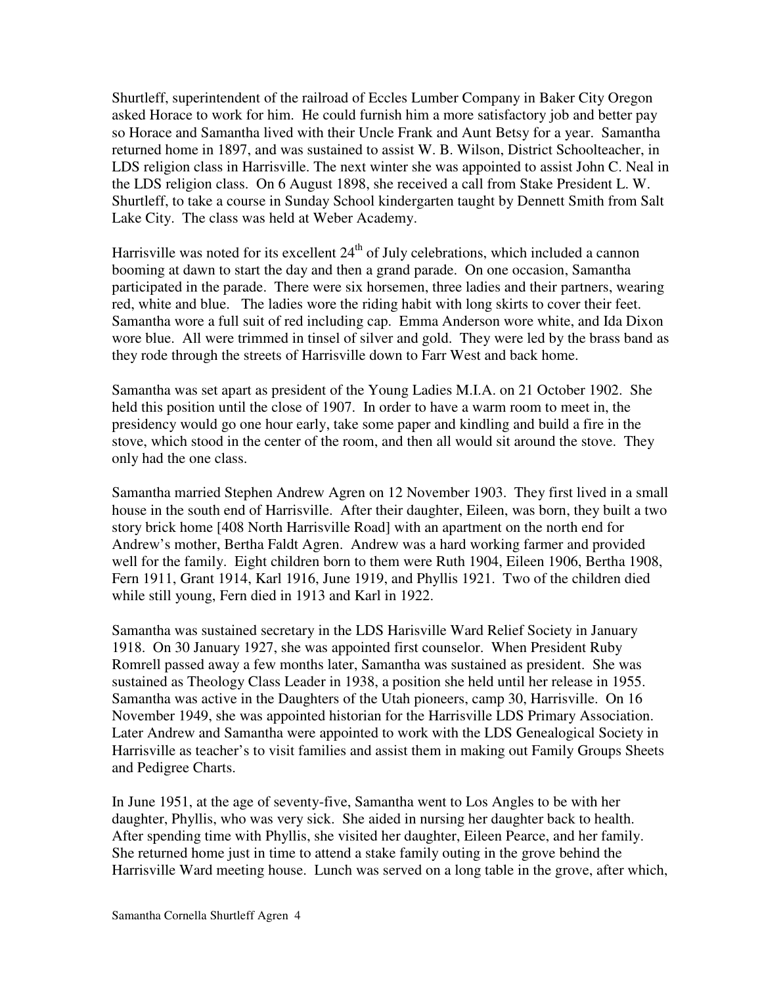Shurtleff, superintendent of the railroad of Eccles Lumber Company in Baker City Oregon asked Horace to work for him. He could furnish him a more satisfactory job and better pay so Horace and Samantha lived with their Uncle Frank and Aunt Betsy for a year. Samantha returned home in 1897, and was sustained to assist W. B. Wilson, District Schoolteacher, in LDS religion class in Harrisville. The next winter she was appointed to assist John C. Neal in the LDS religion class. On 6 August 1898, she received a call from Stake President L. W. Shurtleff, to take a course in Sunday School kindergarten taught by Dennett Smith from Salt Lake City. The class was held at Weber Academy.

Harrisville was noted for its excellent  $24<sup>th</sup>$  of July celebrations, which included a cannon booming at dawn to start the day and then a grand parade. On one occasion, Samantha participated in the parade. There were six horsemen, three ladies and their partners, wearing red, white and blue. The ladies wore the riding habit with long skirts to cover their feet. Samantha wore a full suit of red including cap. Emma Anderson wore white, and Ida Dixon wore blue. All were trimmed in tinsel of silver and gold. They were led by the brass band as they rode through the streets of Harrisville down to Farr West and back home.

Samantha was set apart as president of the Young Ladies M.I.A. on 21 October 1902. She held this position until the close of 1907. In order to have a warm room to meet in, the presidency would go one hour early, take some paper and kindling and build a fire in the stove, which stood in the center of the room, and then all would sit around the stove. They only had the one class.

Samantha married Stephen Andrew Agren on 12 November 1903. They first lived in a small house in the south end of Harrisville. After their daughter, Eileen, was born, they built a two story brick home [408 North Harrisville Road] with an apartment on the north end for Andrew's mother, Bertha Faldt Agren. Andrew was a hard working farmer and provided well for the family. Eight children born to them were Ruth 1904, Eileen 1906, Bertha 1908, Fern 1911, Grant 1914, Karl 1916, June 1919, and Phyllis 1921. Two of the children died while still young, Fern died in 1913 and Karl in 1922.

Samantha was sustained secretary in the LDS Harisville Ward Relief Society in January 1918. On 30 January 1927, she was appointed first counselor. When President Ruby Romrell passed away a few months later, Samantha was sustained as president. She was sustained as Theology Class Leader in 1938, a position she held until her release in 1955. Samantha was active in the Daughters of the Utah pioneers, camp 30, Harrisville. On 16 November 1949, she was appointed historian for the Harrisville LDS Primary Association. Later Andrew and Samantha were appointed to work with the LDS Genealogical Society in Harrisville as teacher's to visit families and assist them in making out Family Groups Sheets and Pedigree Charts.

In June 1951, at the age of seventy-five, Samantha went to Los Angles to be with her daughter, Phyllis, who was very sick. She aided in nursing her daughter back to health. After spending time with Phyllis, she visited her daughter, Eileen Pearce, and her family. She returned home just in time to attend a stake family outing in the grove behind the Harrisville Ward meeting house. Lunch was served on a long table in the grove, after which,